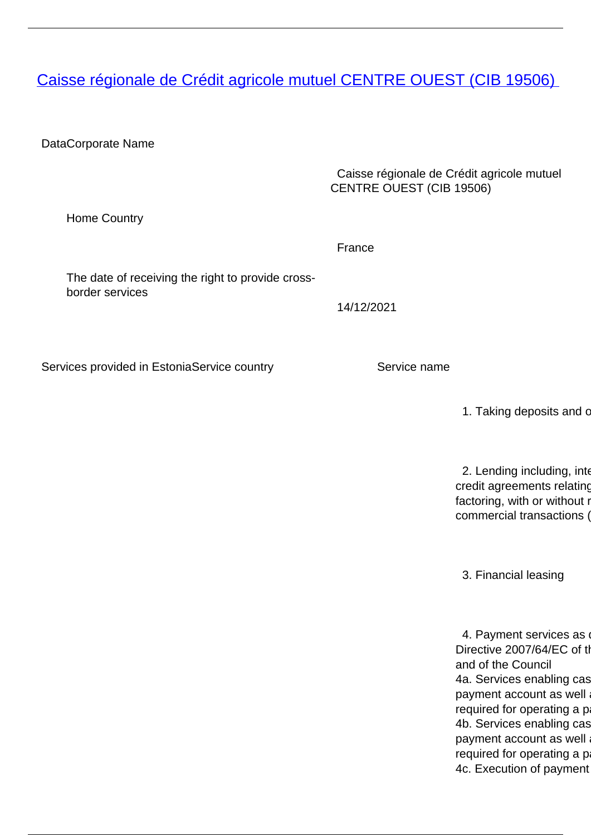<span id="page-0-0"></span>**[Caisse régionale de Crédit agricole mutuel CENTRE OUEST \(CIB 19506\)](/en/banking-and-credit/banking-and-credit/credit-institutions/providers-cross-border-banking-services/caisse-regionale-de-credit-agricole-mutuel-centre-ouest-cib-19506)** 

DataCorporate Name

 Caisse régionale de Crédit agricole mutuel CENTRE OUEST (CIB 19506)

Home Country

France

The date of receiving the right to provide crossborder services

14/12/2021

Services provided in EstoniaService country Service name

1. Taking deposits and c

2. Lending including, inter credit agreements relating factoring, with or without r commercial transactions (

3. Financial leasing

4. Payment services as Directive 2007/64/EC of the and of the Council 4a. Services enabling cas payment account as well required for operating a p 4b. Services enabling cas payment account as well required for operating a p 4c. Execution of payment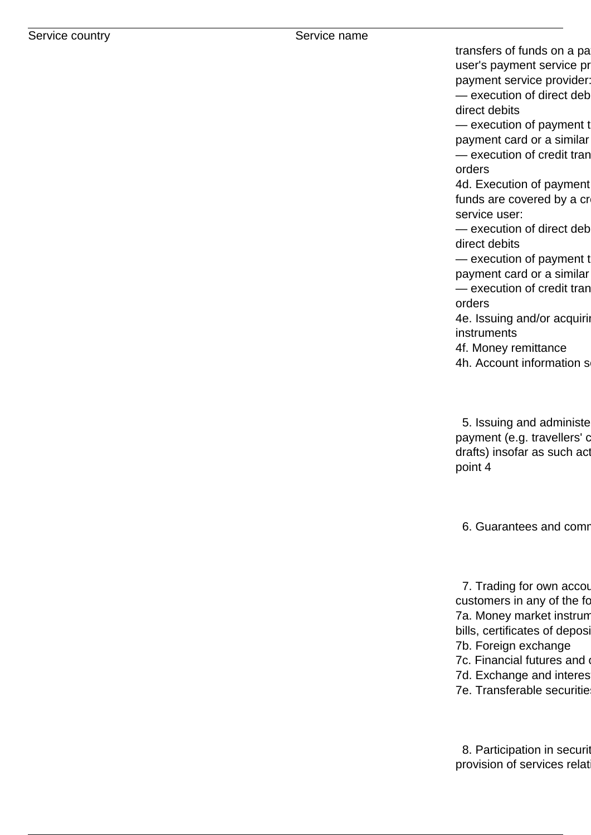transfers of funds on a pa user's payment service pr payment service provider:

 $-$  execution of direct deb direct debits

 $-$  execution of payment to payment card or a similar — execution of credit tran orders

4d. Execution of payment funds are covered by a cr service user:

 $-$  execution of direct deb direct debits

 $-$  execution of payment to payment card or a similar

— execution of credit tran orders

4e. Issuing and/or acquiring instruments

4f. Money remittance

4h. Account information s

5. Issuing and administe payment (e.g. travellers' c drafts) insofar as such act point 4

6. Guarantees and comm

7. Trading for own accou customers in any of the fo 7a. Money market instrum bills, certificates of deposit 7b. Foreign exchange 7c. Financial futures and 7d. Exchange and interes 7e. Transferable securitie

8. Participation in securit provision of services relat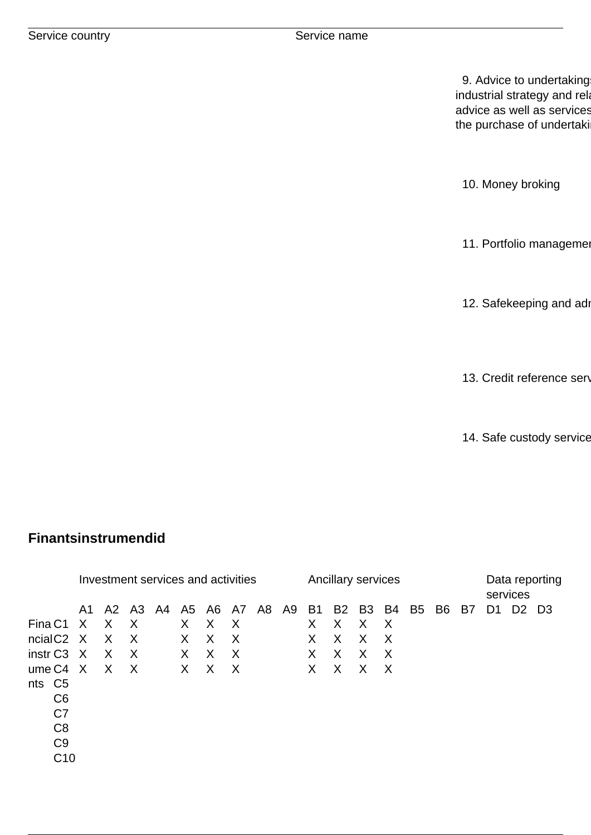9. Advice to undertaking industrial strategy and rela advice as well as services the purchase of undertaki

10. Money broking

11. Portfolio manageme

12. Safekeeping and adı

13. Credit reference serv

14. Safe custody service

## **Finantsinstrumendid**

|                        | Investment services and activities |          |              |  |         |   |          |                |  | Ancillary services |              |          |          |    |              |  | Data reporting<br>services |                |       |
|------------------------|------------------------------------|----------|--------------|--|---------|---|----------|----------------|--|--------------------|--------------|----------|----------|----|--------------|--|----------------------------|----------------|-------|
|                        | A1.                                | A2 A3 A4 |              |  |         |   |          | A5 A6 A7 A8 A9 |  | <b>B1</b>          |              | B2 B3 B4 |          | B5 | <b>B6 B7</b> |  | D1                         | D <sub>2</sub> | - D.3 |
| Fina C1                | X,                                 | X        | $\sf X$      |  | X       | X | X        |                |  | X                  | X            | X        | $\times$ |    |              |  |                            |                |       |
| ncialC <sub>2</sub> X  |                                    | X        | $\mathsf{X}$ |  | $\sf X$ | X | $\sf X$  |                |  | X                  | $\sf X$      | X        | $\times$ |    |              |  |                            |                |       |
| instr C <sub>3</sub> X |                                    | X        | $\mathsf{X}$ |  | X       | X | $\times$ |                |  | X                  | $\mathsf{X}$ | X        | $\times$ |    |              |  |                            |                |       |
| $umeC4 \ X$            |                                    | X        | $\sf X$      |  | X.      | X | X        |                |  | X                  | X            | X        | X        |    |              |  |                            |                |       |
| nts C <sub>5</sub>     |                                    |          |              |  |         |   |          |                |  |                    |              |          |          |    |              |  |                            |                |       |
| C <sub>6</sub>         |                                    |          |              |  |         |   |          |                |  |                    |              |          |          |    |              |  |                            |                |       |
| C7                     |                                    |          |              |  |         |   |          |                |  |                    |              |          |          |    |              |  |                            |                |       |
| C <sub>8</sub>         |                                    |          |              |  |         |   |          |                |  |                    |              |          |          |    |              |  |                            |                |       |
| C <sub>9</sub>         |                                    |          |              |  |         |   |          |                |  |                    |              |          |          |    |              |  |                            |                |       |
| C <sub>10</sub>        |                                    |          |              |  |         |   |          |                |  |                    |              |          |          |    |              |  |                            |                |       |